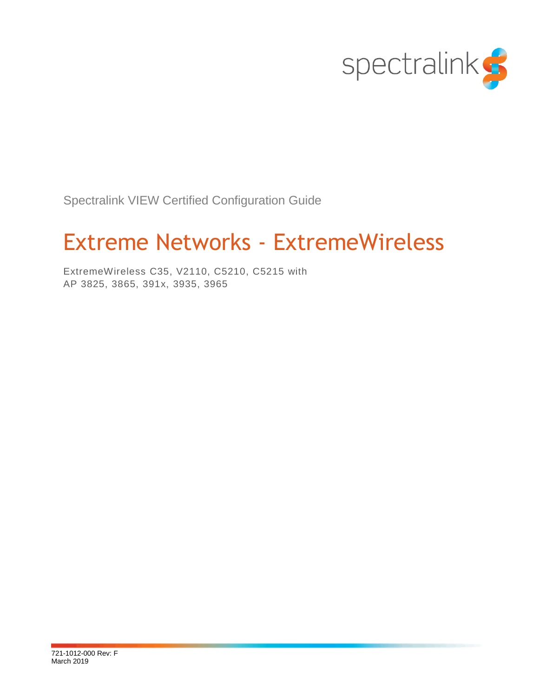

Spectralink VIEW Certified Configuration Guide

# Extreme Networks - ExtremeWireless

ExtremeWireless C35, V2110, C5210, C5215 with AP 3825, 3865, 391x, 3935, 3965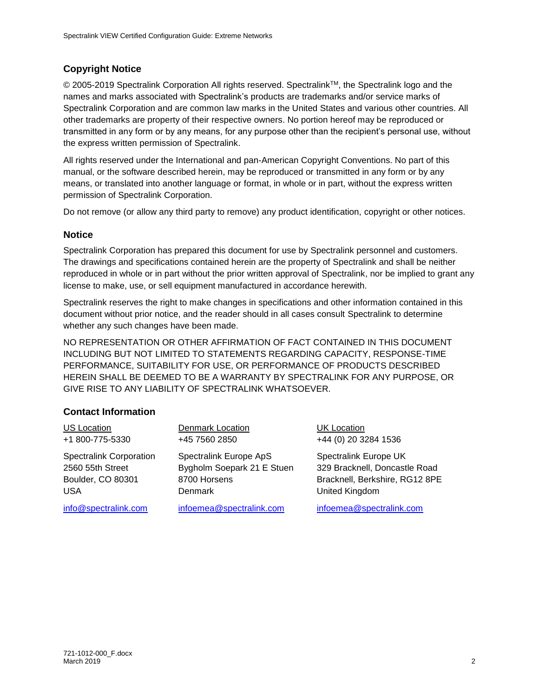## **Copyright Notice**

© 2005-2019 Spectralink Corporation All rights reserved. SpectralinkTM, the Spectralink logo and the names and marks associated with Spectralink's products are trademarks and/or service marks of Spectralink Corporation and are common law marks in the United States and various other countries. All other trademarks are property of their respective owners. No portion hereof may be reproduced or transmitted in any form or by any means, for any purpose other than the recipient's personal use, without the express written permission of Spectralink.

All rights reserved under the International and pan-American Copyright Conventions. No part of this manual, or the software described herein, may be reproduced or transmitted in any form or by any means, or translated into another language or format, in whole or in part, without the express written permission of Spectralink Corporation.

Do not remove (or allow any third party to remove) any product identification, copyright or other notices.

#### **Notice**

Spectralink Corporation has prepared this document for use by Spectralink personnel and customers. The drawings and specifications contained herein are the property of Spectralink and shall be neither reproduced in whole or in part without the prior written approval of Spectralink, nor be implied to grant any license to make, use, or sell equipment manufactured in accordance herewith.

Spectralink reserves the right to make changes in specifications and other information contained in this document without prior notice, and the reader should in all cases consult Spectralink to determine whether any such changes have been made.

NO REPRESENTATION OR OTHER AFFIRMATION OF FACT CONTAINED IN THIS DOCUMENT INCLUDING BUT NOT LIMITED TO STATEMENTS REGARDING CAPACITY, RESPONSE-TIME PERFORMANCE, SUITABILITY FOR USE, OR PERFORMANCE OF PRODUCTS DESCRIBED HEREIN SHALL BE DEEMED TO BE A WARRANTY BY SPECTRALINK FOR ANY PURPOSE, OR GIVE RISE TO ANY LIABILITY OF SPECTRALINK WHATSOEVER.

### **Contact Information**

| <b>US Location</b>             | Denmark Location           | <b>UK Location</b>             |
|--------------------------------|----------------------------|--------------------------------|
| +1 800-775-5330                | +45 7560 2850              | +44 (0) 20 3284 1536           |
| <b>Spectralink Corporation</b> | Spectralink Europe ApS     | Spectralink Europe UK          |
| 2560 55th Street               | Bygholm Soepark 21 E Stuen | 329 Bracknell, Doncastle Road  |
| Boulder, CO 80301              | 8700 Horsens               | Bracknell, Berkshire, RG12 8PE |
| USA                            | <b>Denmark</b>             | United Kingdom                 |
| info@spectralink.com           | infoemea@spectralink.com   | infoemea@spectralink.com       |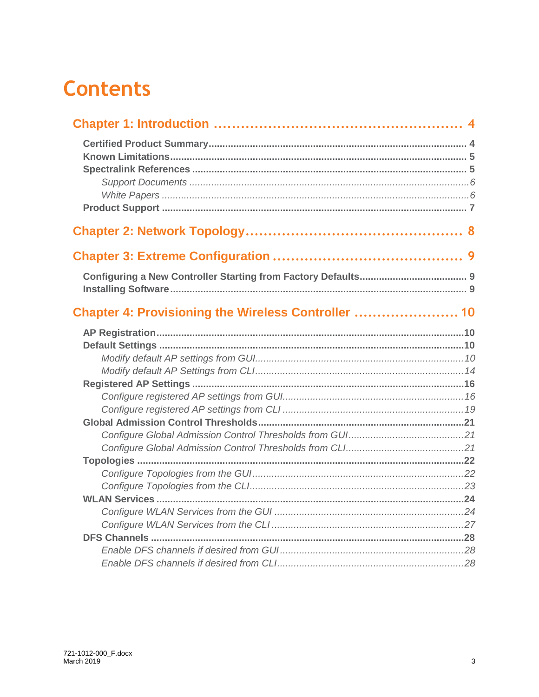# **Contents**

| Chapter 4: Provisioning the Wireless Controller  10 |  |
|-----------------------------------------------------|--|
|                                                     |  |
|                                                     |  |
|                                                     |  |
|                                                     |  |
|                                                     |  |
|                                                     |  |
|                                                     |  |
|                                                     |  |
|                                                     |  |
|                                                     |  |
|                                                     |  |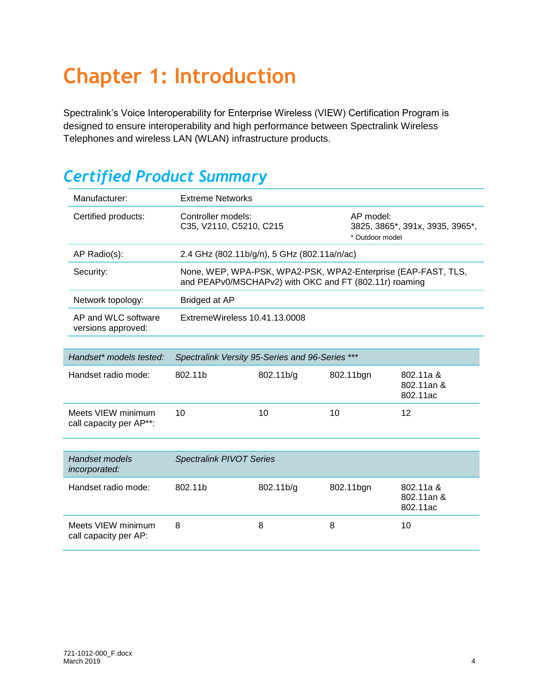# <span id="page-3-0"></span>**Chapter 1: Introduction**

Spectralink's Voice Interoperability for Enterprise Wireless (VIEW) Certification Program is designed to ensure interoperability and high performance between Spectralink Wireless Telephones and wireless LAN (WLAN) infrastructure products.

## <span id="page-3-1"></span>*Certified Product Summary*

| Manufacturer:                                 | <b>Extreme Networks</b>                                |                               |           |                                                               |  |  |
|-----------------------------------------------|--------------------------------------------------------|-------------------------------|-----------|---------------------------------------------------------------|--|--|
| Certified products:                           | Controller models:<br>C35, V2110, C5210, C215          |                               | AP model: | 3825, 3865*, 391x, 3935, 3965*,<br>* Outdoor model            |  |  |
| AP Radio(s):                                  | 2.4 GHz (802.11b/g/n), 5 GHz (802.11a/n/ac)            |                               |           |                                                               |  |  |
| Security:                                     | and PEAPv0/MSCHAPv2) with OKC and FT (802.11r) roaming |                               |           | None, WEP, WPA-PSK, WPA2-PSK, WPA2-Enterprise (EAP-FAST, TLS, |  |  |
| Network topology:                             | Bridged at AP                                          |                               |           |                                                               |  |  |
| AP and WLC software<br>versions approved:     |                                                        | ExtremeWireless 10.41.13.0008 |           |                                                               |  |  |
|                                               |                                                        |                               |           |                                                               |  |  |
| Handset* models tested:                       | Spectralink Versity 95-Series and 96-Series ***        |                               |           |                                                               |  |  |
| Handset radio mode:                           | 802.11b                                                | 802.11b/g                     | 802.11bgn | 802.11a &<br>802.11an &<br>802.11ac                           |  |  |
| Meets VIEW minimum<br>call capacity per AP**: | 10                                                     | 10                            | 10        | 12                                                            |  |  |
|                                               |                                                        |                               |           |                                                               |  |  |
| <b>Handset models</b><br>incorporated:        | <b>Spectralink PIVOT Series</b>                        |                               |           |                                                               |  |  |
| Handset radio mode:                           | 802.11b                                                | 802.11b/g                     | 802.11bgn | 802.11a &<br>802.11an &<br>802.11ac                           |  |  |
| Meets VIEW minimum<br>call capacity per AP:   | 8                                                      | 8                             | 8         | 10                                                            |  |  |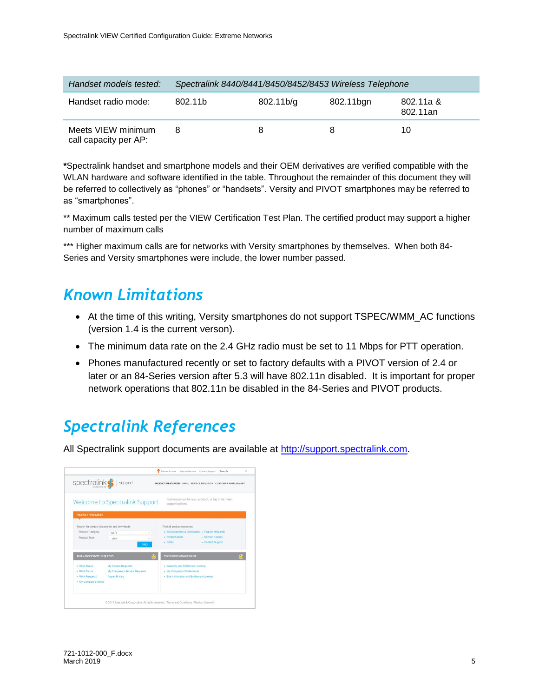| Handset models tested:                      | Spectralink 8440/8441/8450/8452/8453 Wireless Telephone |            |           |                       |  |
|---------------------------------------------|---------------------------------------------------------|------------|-----------|-----------------------|--|
| Handset radio mode:                         | 802.11b                                                 | 802.11 b/g | 802.11bgn | 802.11a &<br>802.11an |  |
| Meets VIEW minimum<br>call capacity per AP: | 8                                                       |            | 8         | 10                    |  |

**\***Spectralink handset and smartphone models and their OEM derivatives are verified compatible with the WLAN hardware and software identified in the table. Throughout the remainder of this document they will be referred to collectively as "phones" or "handsets". Versity and PIVOT smartphones may be referred to as "smartphones".

\*\* Maximum calls tested per the VIEW Certification Test Plan. The certified product may support a higher number of maximum calls

\*\*\* Higher maximum calls are for networks with Versity smartphones by themselves. When both 84-Series and Versity smartphones were include, the lower number passed.

## <span id="page-4-0"></span>*Known Limitations*

- At the time of this writing, Versity smartphones do not support TSPEC/WMM\_AC functions (version 1.4 is the current verson).
- The minimum data rate on the 2.4 GHz radio must be set to 11 Mbps for PTT operation.
- Phones manufactured recently or set to factory defaults with a PIVOT version of 2.4 or later or an 84-Series version after 5.3 will have 802.11n disabled. It is important for proper network operations that 802.11n be disabled in the 84-Series and PIVOT products.

## <span id="page-4-1"></span>*Spectralink References*

All Spectralink support documents are available at [http://support.spectralink.com.](http://support.spectralink.com/)

| spectralink <sup>S</sup>  | support                                    | PRODUCT RESOURCES RMAs SERVICE REQUESTS CUSTOMER MANAGEMENT                                      |
|---------------------------|--------------------------------------------|--------------------------------------------------------------------------------------------------|
|                           | Welcome to Spectralink Support             | Find resources for your product, or log in for more<br>support options.                          |
| <b>PRODUCT RESOURCES</b>  | Search for product documents and downloads | Find all product resources                                                                       |
| Product Category:         | Wi-Fi<br>$\sim$                            | All Documents & Downloads > Feature Requests<br><b>Service Policies</b><br><b>Product Alerts</b> |
| Product Type:             | $-$ Arry $-$<br><b>FIND</b>                | Contact Support<br>EFAQ4                                                                         |
| RMAs AND SERVICE REQUESTS |                                            | A<br><b>CLISTOMER MANAGEMENT</b>                                                                 |
| <b>RMA Status</b>         | My Service Requests                        | Warranty and Entitlement Lookup                                                                  |
| · RMA Forms               | My Company's Service Requests              | My Company's Entitiements                                                                        |
| · RMA Requests            | <b>Repair Pricing</b>                      | · Batch Warranty and Entitlement Lookup                                                          |
| > My Company's RMAs       |                                            |                                                                                                  |
|                           |                                            |                                                                                                  |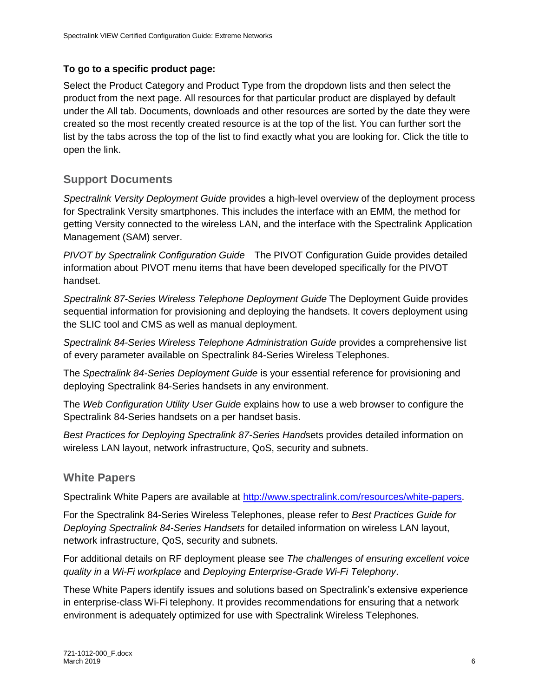## **To go to a specific product page:**

Select the Product Category and Product Type from the dropdown lists and then select the product from the next page. All resources for that particular product are displayed by default under the All tab. Documents, downloads and other resources are sorted by the date they were created so the most recently created resource is at the top of the list. You can further sort the list by the tabs across the top of the list to find exactly what you are looking for. Click the title to open the link.

## <span id="page-5-0"></span>**Support Documents**

*Spectralink Versity Deployment Guide* provides a high-level overview of the deployment process for Spectralink Versity smartphones. This includes the interface with an EMM, the method for getting Versity connected to the wireless LAN, and the interface with the Spectralink Application Management (SAM) server.

*PIVOT by Spectralink Configuration Guide* The PIVOT Configuration Guide provides detailed information about PIVOT menu items that have been developed specifically for the PIVOT handset.

*Spectralink 87-Series Wireless Telephone Deployment Guide* The Deployment Guide provides sequential information for provisioning and deploying the handsets. It covers deployment using the SLIC tool and CMS as well as manual deployment.

*Spectralink 84-Series Wireless Telephone Administration Guide* provides a comprehensive list of every parameter available on Spectralink 84-Series Wireless Telephones.

The *Spectralink 84-Series Deployment Guide* is your essential reference for provisioning and deploying Spectralink 84-Series handsets in any environment.

The *Web Configuration Utility User Guide* explains how to use a web browser to configure the Spectralink 84-Series handsets on a per handset basis.

*Best Practices for Deploying Spectralink 87-Series Hand*sets provides detailed information on wireless LAN layout, network infrastructure, QoS, security and subnets.

## <span id="page-5-1"></span>**White Papers**

Spectralink White Papers are available at [http://www.spectralink.com/resources/white-papers.](http://www.spectralink.com/resources/white-papers)

For the Spectralink 84-Series Wireless Telephones, please refer to *Best Practices Guide for Deploying Spectralink 84-Series Handsets* for detailed information on wireless LAN layout, network infrastructure, QoS, security and subnets.

For additional details on RF deployment please see *The challenges of ensuring excellent voice quality in a Wi-Fi workplace* and *Deploying Enterprise-Grade Wi-Fi Telephony*.

These White Papers identify issues and solutions based on Spectralink's extensive experience in enterprise-class Wi-Fi telephony. It provides recommendations for ensuring that a network environment is adequately optimized for use with Spectralink Wireless Telephones.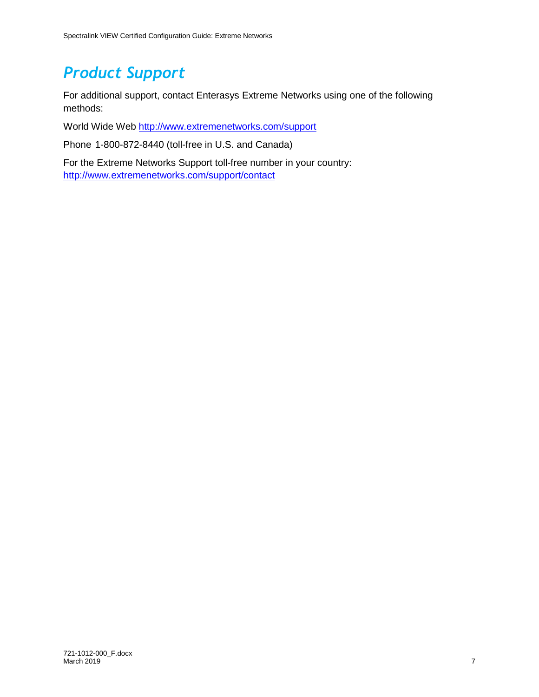## <span id="page-6-0"></span>*Product Support*

For additional support, contact Enterasys Extreme Networks using one of the following methods:

World Wide Web<http://www.extremenetworks.com/support>

Phone 1-800-872-8440 (toll-free in U.S. and Canada)

For the Extreme Networks Support toll-free number in your country: <http://www.extremenetworks.com/support/contact>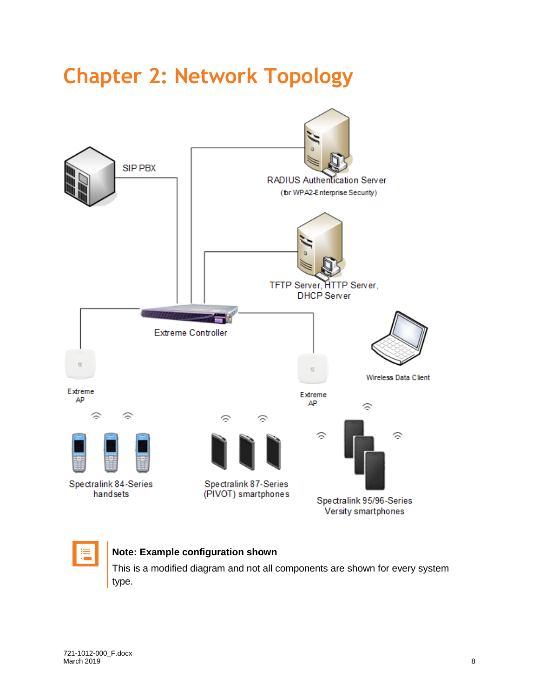# <span id="page-7-0"></span>**Chapter 2: Network Topology**





## **Note: Example configuration shown**

This is a modified diagram and not all components are shown for every system type.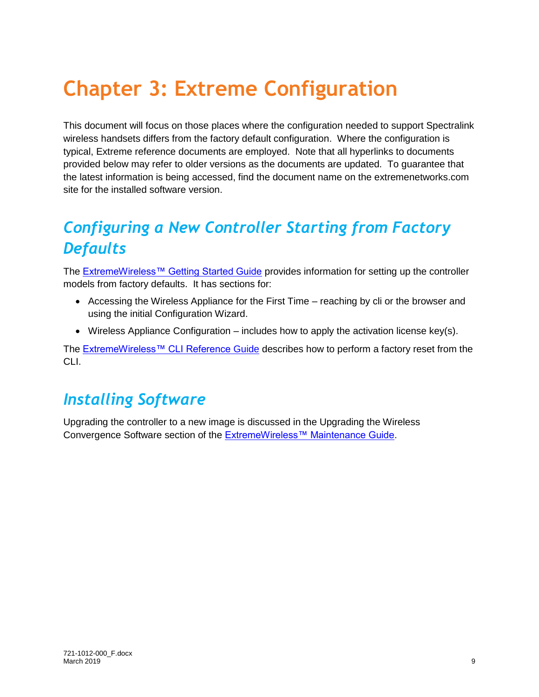# <span id="page-8-0"></span>**Chapter 3: Extreme Configuration**

This document will focus on those places where the configuration needed to support Spectralink wireless handsets differs from the factory default configuration. Where the configuration is typical, Extreme reference documents are employed. Note that all hyperlinks to documents provided below may refer to older versions as the documents are updated. To guarantee that the latest information is being accessed, find the document name on the extremenetworks.com site for the installed software version.

## <span id="page-8-1"></span>*Configuring a New Controller Starting from Factory Defaults*

The [ExtremeWireless™ Getting Started Guide](http://documentation.extremenetworks.com/wireless/GSG/) provides information for setting up the controller models from factory defaults. It has sections for:

- Accessing the Wireless Appliance for the First Time reaching by cli or the browser and using the initial Configuration Wizard.
- Wireless Appliance Configuration includes how to apply the activation license key(s).

The [ExtremeWireless™ CLI Reference](http://documentation.extremenetworks.com/wireless/v10_41/CLI/) Guide describes how to perform a factory reset from the CLI.

## <span id="page-8-2"></span>*Installing Software*

Upgrading the controller to a new image is discussed in the Upgrading the Wireless Convergence Software section of the [ExtremeWireless™ Maintenance Guide.](http://documentation.extremenetworks.com/wireless/v10_41/MG/)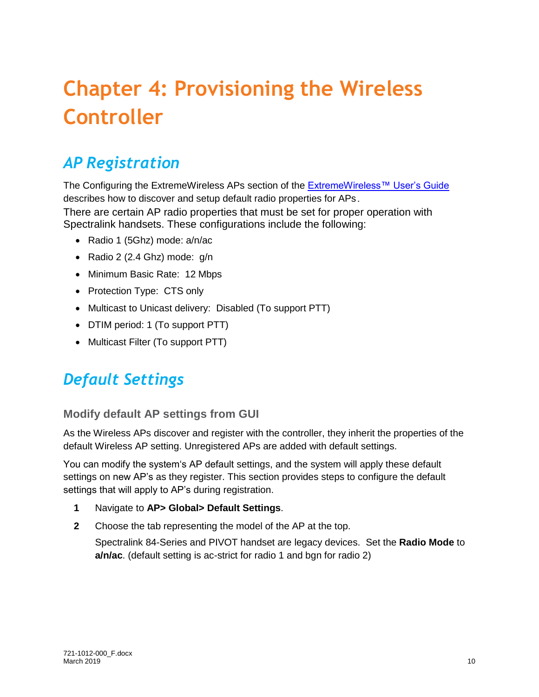# <span id="page-9-0"></span>**Chapter 4: Provisioning the Wireless Controller**

## <span id="page-9-1"></span>*AP Registration*

The Configuring the ExtremeWireless APs section of the [ExtremeWireless™ User's Guide](https://documentation.extremenetworks.com/wireless/v10_41/UG/Wireless_User_Guide.pdf) describes how to discover and setup default radio properties for APs. There are certain AP radio properties that must be set for proper operation with Spectralink handsets. These configurations include the following:

- Radio 1 (5Ghz) mode: a/n/ac
- Radio 2 (2.4 Ghz) mode: g/n
- Minimum Basic Rate: 12 Mbps
- Protection Type: CTS only
- Multicast to Unicast delivery: Disabled (To support PTT)
- DTIM period: 1 (To support PTT)
- <span id="page-9-2"></span>• Multicast Filter (To support PTT)

## *Default Settings*

## <span id="page-9-3"></span>**Modify default AP settings from GUI**

As the Wireless APs discover and register with the controller, they inherit the properties of the default Wireless AP setting. Unregistered APs are added with default settings.

You can modify the system's AP default settings, and the system will apply these default settings on new AP's as they register. This section provides steps to configure the default settings that will apply to AP's during registration.

- **1** Navigate to **AP> Global> Default Settings**.
- **2** Choose the tab representing the model of the AP at the top.

Spectralink 84-Series and PIVOT handset are legacy devices. Set the **Radio Mode** to **a/n/ac**. (default setting is ac-strict for radio 1 and bgn for radio 2)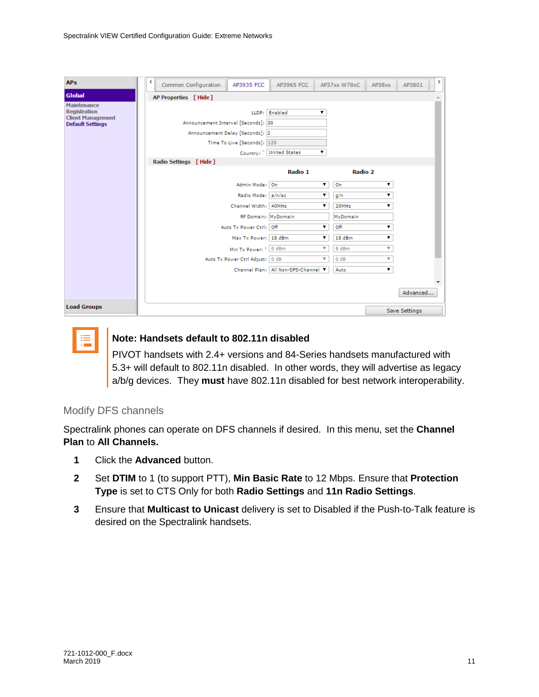| <b>APs</b>                                                                                       | ≺<br>Common Configuration<br>AP3935 FCC                                                                                                                                                                                                     | AP3965 FCC                                     | AP37xx W78xC<br>AP38xx                                                           | ≯<br>AP3801               |
|--------------------------------------------------------------------------------------------------|---------------------------------------------------------------------------------------------------------------------------------------------------------------------------------------------------------------------------------------------|------------------------------------------------|----------------------------------------------------------------------------------|---------------------------|
| <b>Global</b>                                                                                    | AP Properties [ Hide ]                                                                                                                                                                                                                      |                                                |                                                                                  |                           |
| <b>Maintenance</b><br><b>Registration</b><br><b>Client Management</b><br><b>Default Settings</b> | LLDP: Enabled<br>Announcement Interval [Seconds]: 30<br>Announcement Delay [Seconds]: 2<br>Time To Live [Seconds]: 120<br>Country: * United States<br>Radio Settings [Hide]<br>Admin Mode: On<br>Radio Mode: a/n/ac<br>Channel Width: 40MHz | ۷.<br>۷.<br>Radio 1<br>▼<br>▼                  | Radio 2<br>On<br>▼<br>g/n<br>▼<br>20MHz<br>▼                                     |                           |
|                                                                                                  | RF Domain: MyDomain<br>Auto Tx Power Ctrl: Off<br>Max Tx Power: 18 dBm                                                                                                                                                                      | ▼<br>▼                                         | MyDomain<br>Off<br>▼<br>18 dBm<br>۷.                                             |                           |
|                                                                                                  | Min Tx Power: 1 0 dBm<br>Auto Tx Power Ctrl Adjust: 0 dB                                                                                                                                                                                    | ₩<br>v<br>Channel Plan: All Non-DFS-Channel: V | 8 dBm<br>$\overline{\mathbf{v}}$<br>0 dB<br>$\overline{\mathbf{v}}$<br>▼<br>Auto |                           |
| <b>Load Groups</b>                                                                               |                                                                                                                                                                                                                                             |                                                |                                                                                  | Advanced<br>Save Settings |



## **Note: Handsets default to 802.11n disabled**

PIVOT handsets with 2.4+ versions and 84-Series handsets manufactured with 5.3+ will default to 802.11n disabled. In other words, they will advertise as legacy a/b/g devices. They **must** have 802.11n disabled for best network interoperability.

### Modify DFS channels

Spectralink phones can operate on DFS channels if desired. In this menu, set the **Channel Plan** to **All Channels.**

- **1** Click the **Advanced** button.
- **2** Set **DTIM** to 1 (to support PTT), **Min Basic Rate** to 12 Mbps. Ensure that **Protection Type** is set to CTS Only for both **Radio Settings** and **11n Radio Settings**.
- **3** Ensure that **Multicast to Unicast** delivery is set to Disabled if the Push-to-Talk feature is desired on the Spectralink handsets.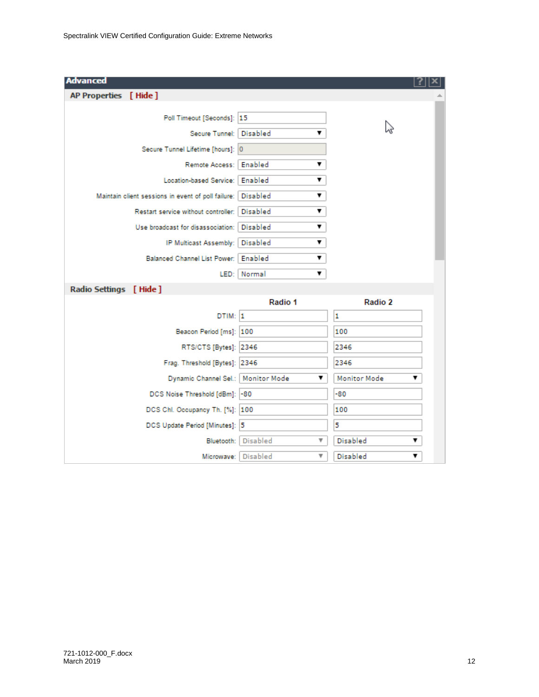| <b>Advanced</b>                                             |                      |                          |
|-------------------------------------------------------------|----------------------|--------------------------|
| AP Properties [ Hide ]                                      |                      |                          |
| Poll Timeout [Seconds]: 15                                  |                      |                          |
| Secure Tunnel:   Disabled                                   | ▼                    | hò                       |
| Secure Tunnel Lifetime [hours]: 0                           |                      |                          |
| Remote Access:   Enabled                                    | ▼                    |                          |
| Location-based Service:   Enabled                           | ▼                    |                          |
| Maintain client sessions in event of poll failure: Disabled | ▼                    |                          |
| Restart service without controller: Disabled                | ▼                    |                          |
| Use broadcast for disassociation:   Disabled                | ▼                    |                          |
| IP Multicast Assembly: Disabled                             | ▼                    |                          |
| Balanced Channel List Power:   Enabled                      | ▼                    |                          |
|                                                             | LED: Normal<br>▼     |                          |
| Radio Settings [ Hide ]                                     |                      |                          |
|                                                             | Radio 1              | Radio 2                  |
| DTIM: 1                                                     |                      | 1                        |
| Beacon Period [ms]: 100                                     |                      | 100                      |
| RTS/CTS [Bytes]: 2346                                       |                      | 2346                     |
| Frag. Threshold [Bytes]: 2346                               |                      | 2346                     |
| Dynamic Channel Sel.:   Monitor Mode                        | ▼                    | <b>Monitor Mode</b><br>7 |
| DCS Noise Threshold [dBm]: -80                              |                      | -80                      |
| DCS Chl. Occupancy Th. [%]: 100                             |                      | 100                      |
| DCS Update Period [Minutes]: 5                              |                      | 5                        |
| Bluetooth:                                                  | <b>Disabled</b><br>v | Disabled<br>7            |
| Microwave:                                                  | <b>Disabled</b><br>v | Disabled<br>7            |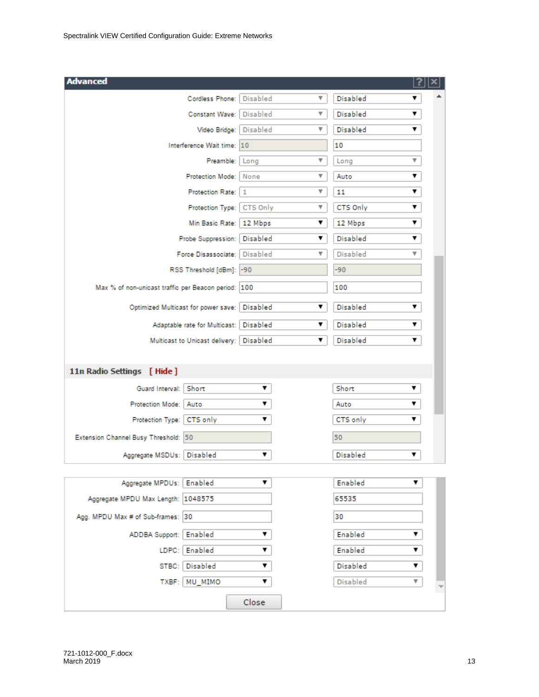| <b>Advanced</b>                                      |          |    |                 |   |
|------------------------------------------------------|----------|----|-----------------|---|
| Cordless Phone: Disabled                             |          | ▼  | Disabled        | ▼ |
| Constant Wave: Disabled                              |          | v  | Disabled        | ▼ |
| Video Bridge:   Disabled                             |          | v. | <b>Disabled</b> | ▼ |
| Interference Wait time: 10                           |          |    | 10              |   |
| Preamble:                                            | Long     | ▼  | Long            | ▼ |
| Protection Mode:   None                              |          | ▼  | Auto            | ▼ |
| Protection Rate: 1                                   |          | ▼  | 11              | ▼ |
| Protection Type:   CTS Only                          |          | ▼  | CTS Only        | ▼ |
| Min Basic Rate:   12 Mbps                            |          | ▼  | 12 Mbps         | ▼ |
| Probe Suppression:   Disabled                        |          | ▼  | <b>Disabled</b> | ▼ |
| Force Disassociate:   Disabled                       |          | ▼  | <b>Disabled</b> | ▼ |
| RSS Threshold [dBm]: -90                             |          |    | -90             |   |
| Max % of non-unicast traffic per Beacon period:  100 |          |    | 100             |   |
| Optimized Multicast for power save:                  | Disabled | ▼  | <b>Disabled</b> | ▼ |
| Adaptable rate for Multicast:   Disabled             |          | ▼  | Disabled        | ▼ |
| Multicast to Unicast delivery:   Disabled            |          | ▼  | Disabled        | ▼ |
|                                                      |          |    |                 |   |
| 11n Radio Settings [ Hide ]                          |          |    |                 |   |
| Guard Interval: Short                                | ▼        |    | Short           | ▼ |
| Protection Mode: Auto                                | ▼        |    | Auto            | ▼ |
| Protection Type:   CTS only                          | ▼        |    | CTS only        | ▼ |
| Extension Channel Busy Threshold: 50                 |          |    | 50              |   |
| Aggregate MSDUs:   Disabled                          | ▼        |    | Disabled        | ▼ |
|                                                      |          |    |                 |   |
| Aggregate MPDUs:   Enabled                           | ▼        |    | Enabled         | ▼ |
| Aggregate MPDU Max Length: 1048575                   |          |    | 65535           |   |
| Agg. MPDU Max # of Sub-frames: 30                    |          |    | 30              |   |
| ADDBA Support: Enabled                               | ▼        |    | Enabled         | ▼ |
| LDPC: Enabled                                        | ▼        |    | Enabled         | ▼ |
| STBC: Disabled                                       | ▼        |    | Disabled        | ▼ |
| TXBF: MU_MIMO                                        | ▼        |    | <b>Disabled</b> | ▼ |
|                                                      | Close    |    |                 |   |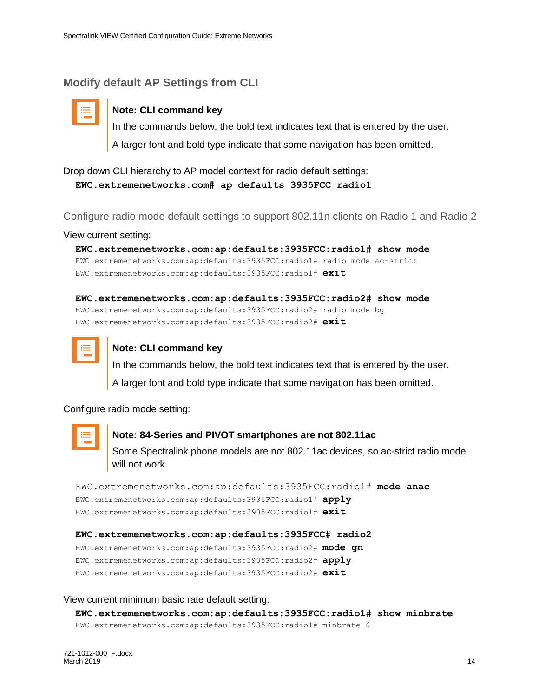## <span id="page-13-0"></span>**Modify default AP Settings from CLI**



## **Note: CLI command key**

In the commands below, the bold text indicates text that is entered by the user. A larger font and bold type indicate that some navigation has been omitted.

Drop down CLI hierarchy to AP model context for radio default settings: **EWC.extremenetworks.com# ap defaults 3935FCC radio1**

Configure radio mode default settings to support 802.11n clients on Radio 1 and Radio 2

View current setting:

**EWC.extremenetworks.com:ap:defaults:3935FCC:radio1# show mode** EWC.extremenetworks.com:ap:defaults:3935FCC:radio1# radio mode ac-strict EWC.extremenetworks.com:ap:defaults:3935FCC:radio1# **exit**

**EWC.extremenetworks.com:ap:defaults:3935FCC:radio2# show mode** EWC.extremenetworks.com:ap:defaults:3935FCC:radio2# radio mode bg EWC.extremenetworks.com:ap:defaults:3935FCC:radio2# **exit**



#### **Note: CLI command key**

In the commands below, the bold text indicates text that is entered by the user. A larger font and bold type indicate that some navigation has been omitted.

Configure radio mode setting:



#### **Note: 84-Series and PIVOT smartphones are not 802.11ac**

Some Spectralink phone models are not 802.11ac devices, so ac-strict radio mode will not work.

EWC.extremenetworks.com:ap:defaults:3935FCC:radio1# **mode anac** EWC.extremenetworks.com:ap:defaults:3935FCC:radio1# **apply** EWC.extremenetworks.com:ap:defaults:3935FCC:radio1# **exit**

**EWC.extremenetworks.com:ap:defaults:3935FCC# radio2**

EWC.extremenetworks.com:ap:defaults:3935FCC:radio2# **mode gn** EWC.extremenetworks.com:ap:defaults:3935FCC:radio2# **apply** EWC.extremenetworks.com:ap:defaults:3935FCC:radio2# **exit**

#### View current minimum basic rate default setting:

**EWC.extremenetworks.com:ap:defaults:3935FCC:radio1# show minbrate** EWC.extremenetworks.com:ap:defaults:3935FCC:radio1# minbrate 6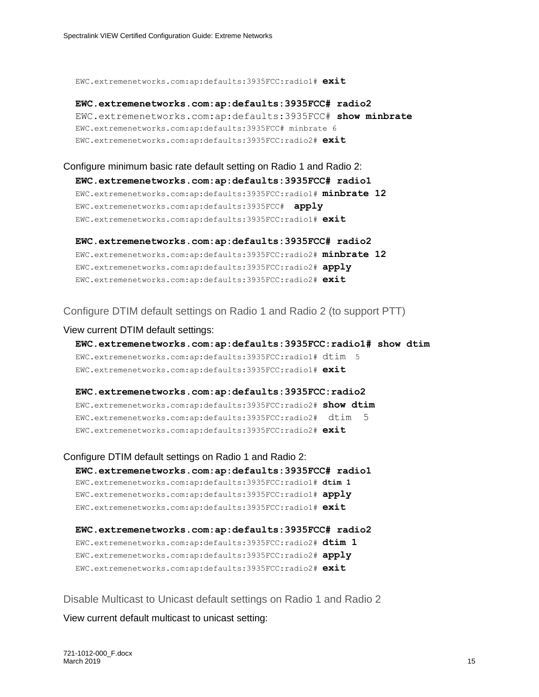EWC.extremenetworks.com:ap:defaults:3935FCC:radio1# **exit**

**EWC.extremenetworks.com:ap:defaults:3935FCC# radio2** EWC.extremenetworks.com:ap:defaults:3935FCC# **show minbrate** EWC.extremenetworks.com:ap:defaults:3935FCC# minbrate 6 EWC.extremenetworks.com:ap:defaults:3935FCC:radio2# **exit**

## Configure minimum basic rate default setting on Radio 1 and Radio 2: **EWC.extremenetworks.com:ap:defaults:3935FCC# radio1** EWC.extremenetworks.com:ap:defaults:3935FCC:radio1# **minbrate 12**

EWC.extremenetworks.com:ap:defaults:3935FCC# **apply** EWC.extremenetworks.com:ap:defaults:3935FCC:radio1# **exit**

**EWC.extremenetworks.com:ap:defaults:3935FCC# radio2** EWC.extremenetworks.com:ap:defaults:3935FCC:radio2# **minbrate 12** EWC.extremenetworks.com:ap:defaults:3935FCC:radio2# **apply** EWC.extremenetworks.com:ap:defaults:3935FCC:radio2# **exit**

#### Configure DTIM default settings on Radio 1 and Radio 2 (to support PTT)

#### View current DTIM default settings:

**EWC.extremenetworks.com:ap:defaults:3935FCC:radio1# show dtim** EWC.extremenetworks.com:ap:defaults:3935FCC:radio1# dtim 5 EWC.extremenetworks.com:ap:defaults:3935FCC:radio1# **exit**

**EWC.extremenetworks.com:ap:defaults:3935FCC:radio2** EWC.extremenetworks.com:ap:defaults:3935FCC:radio2# **show dtim** EWC.extremenetworks.com:ap:defaults:3935FCC:radio2# dtim 5 EWC.extremenetworks.com:ap:defaults:3935FCC:radio2# **exit**

Configure DTIM default settings on Radio 1 and Radio 2: **EWC.extremenetworks.com:ap:defaults:3935FCC# radio1** EWC.extremenetworks.com:ap:defaults:3935FCC:radio1# **dtim 1** EWC.extremenetworks.com:ap:defaults:3935FCC:radio1# **apply** EWC.extremenetworks.com:ap:defaults:3935FCC:radio1# **exit**

**EWC.extremenetworks.com:ap:defaults:3935FCC# radio2** EWC.extremenetworks.com:ap:defaults:3935FCC:radio2# **dtim 1** EWC.extremenetworks.com:ap:defaults:3935FCC:radio2# **apply** EWC.extremenetworks.com:ap:defaults:3935FCC:radio2# **exit**

Disable Multicast to Unicast default settings on Radio 1 and Radio 2

View current default multicast to unicast setting: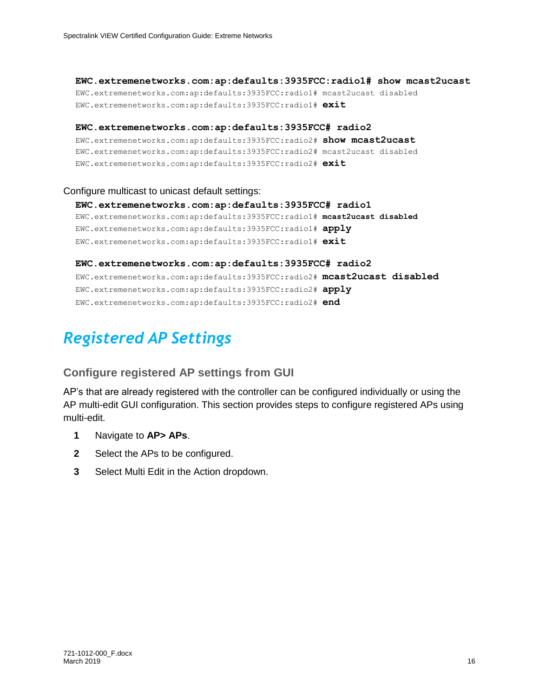**EWC.extremenetworks.com:ap:defaults:3935FCC:radio1# show mcast2ucast** EWC.extremenetworks.com:ap:defaults:3935FCC:radio1# mcast2ucast disabled EWC.extremenetworks.com:ap:defaults:3935FCC:radio1# **exit**

**EWC.extremenetworks.com:ap:defaults:3935FCC# radio2** EWC.extremenetworks.com:ap:defaults:3935FCC:radio2# **show mcast2ucast** EWC.extremenetworks.com:ap:defaults:3935FCC:radio2# mcast2ucast disabled EWC.extremenetworks.com:ap:defaults:3935FCC:radio2# **exit**

#### Configure multicast to unicast default settings:

**EWC.extremenetworks.com:ap:defaults:3935FCC# radio1** EWC.extremenetworks.com:ap:defaults:3935FCC:radio1# **mcast2ucast disabled** EWC.extremenetworks.com:ap:defaults:3935FCC:radio1# **apply** EWC.extremenetworks.com:ap:defaults:3935FCC:radio1# **exit**

**EWC.extremenetworks.com:ap:defaults:3935FCC# radio2** EWC.extremenetworks.com:ap:defaults:3935FCC:radio2# **mcast2ucast disabled** EWC.extremenetworks.com:ap:defaults:3935FCC:radio2# **apply** EWC.extremenetworks.com:ap:defaults:3935FCC:radio2# **end**

## <span id="page-15-0"></span>*Registered AP Settings*

## <span id="page-15-1"></span>**Configure registered AP settings from GUI**

AP's that are already registered with the controller can be configured individually or using the AP multi-edit GUI configuration. This section provides steps to configure registered APs using multi-edit.

- **1** Navigate to **AP> APs**.
- **2** Select the APs to be configured.
- **3** Select Multi Edit in the Action dropdown.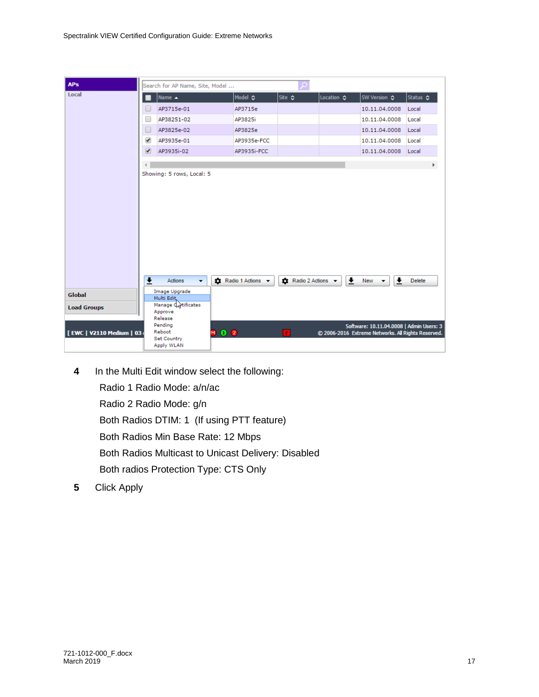| <b>APs</b>                  | Search for AP Name, Site, Model                       |                   | ₽                      |                            |                                                                                             |               |
|-----------------------------|-------------------------------------------------------|-------------------|------------------------|----------------------------|---------------------------------------------------------------------------------------------|---------------|
| Local                       | Name $\triangle$                                      | Model ☆           | Site $\Leftrightarrow$ | Location $\Leftrightarrow$ | SW Version ☆                                                                                | Status ☆      |
|                             | AP3715e-01                                            | AP3715e           |                        |                            | 10.11.04.0008                                                                               | Local         |
|                             | u<br>AP38251-02                                       | AP3825i           |                        |                            | 10.11.04.0008                                                                               | Local         |
|                             | $\Box$<br>AP3825e-02                                  | AP3825e           |                        |                            | 10.11.04.0008                                                                               | Local         |
|                             | ✔<br>AP3935e-01                                       | AP3935e-FCC       |                        |                            | 10.11.04.0008                                                                               | Local         |
|                             | $\overline{\mathcal{L}}$<br>AP3935i-02                | AP3935i-FCC       |                        |                            | 10.11.04.0008                                                                               | Local         |
|                             |                                                       |                   |                        |                            |                                                                                             | Þ.            |
|                             | Showing: 5 rows, Local: 5                             |                   |                        |                            |                                                                                             |               |
|                             | $\overline{\mathbf{t}}$<br>Actions<br>÷               | Radio 1 Actions - | Radio 2 Actions -      | Ŧ                          | $\overline{\mathbf{r}}$<br>New<br>$\overline{\phantom{a}}$                                  | <b>Delete</b> |
| Global                      | Image Upgrade<br>Multi Edit,                          |                   |                        |                            |                                                                                             |               |
| <b>Load Groups</b>          | Manage dartificates<br>Approve<br>Release             |                   |                        |                            |                                                                                             |               |
| [ EWC   V2110 Medium   03 ( | Pending<br>Reboot<br><b>Set Country</b><br>Apply WLAN | <b>MO2</b>        | F                      |                            | Software: 10.11.04.0008   Admin Users:<br>© 2006-2016 Extreme Networks. All Rights Reserved |               |

Spectralink VIEW Certified Configuration Guide: Extreme Networks

**4** In the Multi Edit window select the following:

Radio 1 Radio Mode: a/n/ac

Radio 2 Radio Mode: g/n

Both Radios DTIM: 1 (If using PTT feature)

Both Radios Min Base Rate: 12 Mbps

Both Radios Multicast to Unicast Delivery: Disabled

Both radios Protection Type: CTS Only

**5** Click Apply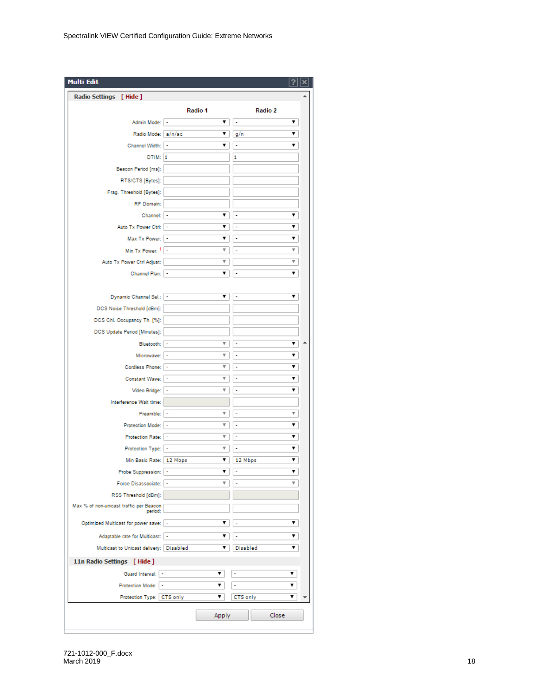| <b>Multi Edit</b>                                  |                               |               |  |
|----------------------------------------------------|-------------------------------|---------------|--|
| Radio Settings [Hide]                              |                               |               |  |
|                                                    | Radio 1                       | Radio 2       |  |
| Admin Mode:   -                                    | ▼                             | ÷<br>▼        |  |
| Radio Mode: a/n/ac                                 | ▼                             | g/n<br>▼      |  |
| Channel Width: -                                   | ▼                             | ÷<br>▼        |  |
| DTIM: 1                                            |                               | 1             |  |
| Beacon Period [ms]:                                |                               |               |  |
| RTS/CTS [Bytes]:                                   |                               |               |  |
| Frag. Threshold [Bytes]:                           |                               |               |  |
| RF Domain:                                         |                               |               |  |
| Channel:   -                                       | 7                             | ▼<br>÷        |  |
| Auto Tx Power Ctrl:   -                            | ۷.                            | ▼<br>٠        |  |
| Max Tx Power:   -                                  | ▼                             | ۷.<br>۰       |  |
| Min Tx Power: $1$   -                              | Ψ                             | v<br>÷        |  |
| Auto Tx Power Ctrl Adjust:                         | $\overline{\mathbf{v}}$       | v             |  |
| Channel Plan:   -                                  | 7                             | ÷<br>▼        |  |
|                                                    |                               |               |  |
| Dynamic Channel Sel.:   -                          | ▼                             | ▼<br>÷        |  |
| DCS Noise Threshold [dBm]:                         |                               |               |  |
| DCS Chl. Occupancy Th. [%]:                        |                               |               |  |
| DCS Update Period [Minutes]:                       |                               |               |  |
| Bluetooth:   -                                     | $\overline{\mathbf{v}}$       | 7<br>۰        |  |
| Microwave:   -                                     | v                             | 7<br>٠        |  |
| Cordless Phone:                                    | v<br>$\overline{\phantom{a}}$ | ▼<br>÷        |  |
| Constant Wave:   -                                 | Ψ                             | ▼<br>÷        |  |
| Video Bridge:   -                                  | v                             | ▼<br>÷        |  |
| Interference Wait time:                            |                               |               |  |
| Preamble:   -                                      | Ψ                             | v<br>÷        |  |
| Protection Mode:  -                                | $\overline{\mathbf{v}}$       | ▼<br>÷        |  |
| Protection Rate: -                                 | $\overline{\mathbf{v}}$       | ▼<br>٠        |  |
| Protection Type: -                                 | v                             | ▼<br>÷        |  |
| Min Basic Rate:   12 Mbps                          | ▼                             | ۷<br>12 Mbps  |  |
| Probe Suppression:  -                              | ▼                             | ۷             |  |
| Force Disassociate:                                | ₩<br>$\overline{\phantom{a}}$ | v<br>J,       |  |
| RSS Threshold [dBm]:                               |                               |               |  |
| Max % of non-unicast traffic per Beacon<br>period: |                               |               |  |
| Optimized Multicast for power save:   -            | ▼                             | ۷.<br>÷       |  |
|                                                    | ▼                             | ▼<br>۰        |  |
| Adaptable rate for Multicast:   -                  | ▼                             | Disabled<br>▼ |  |
| Multicast to Unicast delivery:   Disabled          |                               |               |  |
| 11n Radio Settings [ Hide ]                        |                               |               |  |
| Guard Interval: -                                  | ▼                             | ▼<br>۰        |  |
| Protection Mode: -                                 | ▼                             | ÷<br>▼        |  |
| Protection Type: CTS only                          | ▼                             | CTS only<br>▼ |  |
|                                                    | Apply                         | Close         |  |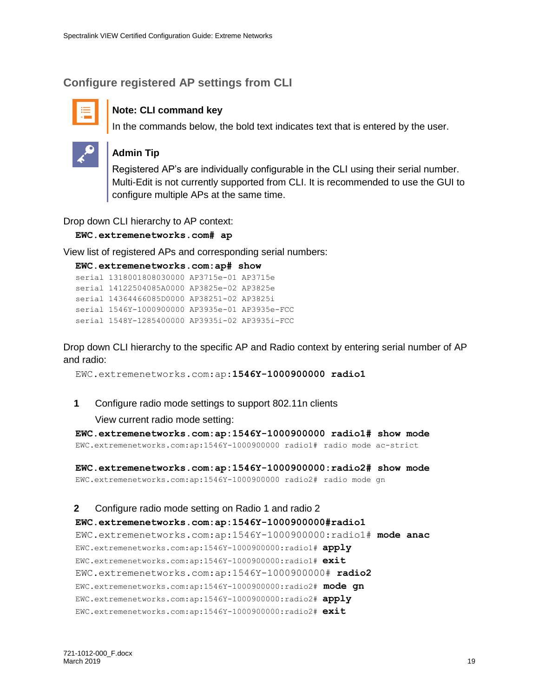## <span id="page-18-0"></span>**Configure registered AP settings from CLI**



### **Note: CLI command key**

In the commands below, the bold text indicates text that is entered by the user.



#### **Admin Tip**

Registered AP's are individually configurable in the CLI using their serial number. Multi-Edit is not currently supported from CLI. It is recommended to use the GUI to configure multiple APs at the same time.

Drop down CLI hierarchy to AP context:

**EWC.extremenetworks.com# ap**

View list of registered APs and corresponding serial numbers:

```
EWC.extremenetworks.com:ap# show
```

```
serial 1318001808030000 AP3715e-01 AP3715e 
serial 14122504085A0000 AP3825e-02 AP3825e 
serial 14364466085D0000 AP38251-02 AP3825i 
serial 1546Y-1000900000 AP3935e-01 AP3935e-FCC 
serial 1548Y-1285400000 AP3935i-02 AP3935i-FCC
```
Drop down CLI hierarchy to the specific AP and Radio context by entering serial number of AP and radio:

EWC.extremenetworks.com:ap:**1546Y-1000900000 radio1**

**1** Configure radio mode settings to support 802.11n clients

View current radio mode setting:

**EWC.extremenetworks.com:ap:1546Y-1000900000 radio1# show mode**  EWC.extremenetworks.com:ap:1546Y-1000900000 radio1# radio mode ac-strict

**EWC.extremenetworks.com:ap:1546Y-1000900000:radio2# show mode** EWC.extremenetworks.com:ap:1546Y-1000900000 radio2# radio mode gn

#### **2** Configure radio mode setting on Radio 1 and radio 2

## **EWC.extremenetworks.com:ap:1546Y-1000900000#radio1** EWC.extremenetworks.com:ap:1546Y-1000900000:radio1# **mode anac** EWC.extremenetworks.com:ap:1546Y-1000900000:radio1# **apply** EWC.extremenetworks.com:ap:1546Y-1000900000:radio1# **exit** EWC.extremenetworks.com:ap:1546Y-1000900000# **radio2** EWC.extremenetworks.com:ap:1546Y-1000900000:radio2# **mode gn** EWC.extremenetworks.com:ap:1546Y-1000900000:radio2# **apply**

EWC.extremenetworks.com:ap:1546Y-1000900000:radio2# **exit**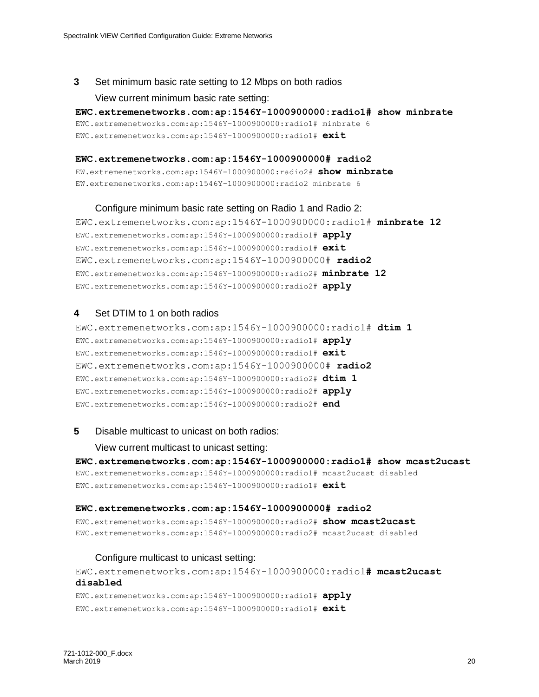#### **3** Set minimum basic rate setting to 12 Mbps on both radios

#### View current minimum basic rate setting:

**EWC.extremenetworks.com:ap:1546Y-1000900000:radio1# show minbrate** EWC.extremenetworks.com:ap:1546Y-1000900000:radio1# minbrate 6 EWC.extremenetworks.com:ap:1546Y-1000900000:radio1# **exit**

#### **EWC.extremenetworks.com:ap:1546Y-1000900000# radio2**

EW.extremenetworks.com:ap:1546Y-1000900000:radio2# **show minbrate** EW.extremenetworks.com:ap:1546Y-1000900000:radio2 minbrate 6

#### Configure minimum basic rate setting on Radio 1 and Radio 2:

EWC.extremenetworks.com:ap:1546Y-1000900000:radio1# **minbrate 12** EWC.extremenetworks.com:ap:1546Y-1000900000:radio1# **apply** EWC.extremenetworks.com:ap:1546Y-1000900000:radio1# **exit** EWC.extremenetworks.com:ap:1546Y-1000900000# **radio2** EWC.extremenetworks.com:ap:1546Y-1000900000:radio2# **minbrate 12** EWC.extremenetworks.com:ap:1546Y-1000900000:radio2# **apply**

#### **4** Set DTIM to 1 on both radios

EWC.extremenetworks.com:ap:1546Y-1000900000:radio1# **dtim 1** EWC.extremenetworks.com:ap:1546Y-1000900000:radio1# **apply** EWC.extremenetworks.com:ap:1546Y-1000900000:radio1# **exit** EWC.extremenetworks.com:ap:1546Y-1000900000# **radio2** EWC.extremenetworks.com:ap:1546Y-1000900000:radio2# **dtim 1** EWC.extremenetworks.com:ap:1546Y-1000900000:radio2# **apply** EWC.extremenetworks.com:ap:1546Y-1000900000:radio2# **end**

#### **5** Disable multicast to unicast on both radios:

View current multicast to unicast setting:

**EWC.extremenetworks.com:ap:1546Y-1000900000:radio1# show mcast2ucast** EWC.extremenetworks.com:ap:1546Y-1000900000:radio1# mcast2ucast disabled EWC.extremenetworks.com:ap:1546Y-1000900000:radio1# **exit**

#### **EWC.extremenetworks.com:ap:1546Y-1000900000# radio2**

EWC.extremenetworks.com:ap:1546Y-1000900000:radio2# **show mcast2ucast** EWC.extremenetworks.com:ap:1546Y-1000900000:radio2# mcast2ucast disabled

#### Configure multicast to unicast setting:

EWC.extremenetworks.com:ap:1546Y-1000900000:radio1**# mcast2ucast disabled**

EWC.extremenetworks.com:ap:1546Y-1000900000:radio1# **apply** EWC.extremenetworks.com:ap:1546Y-1000900000:radio1# **exit**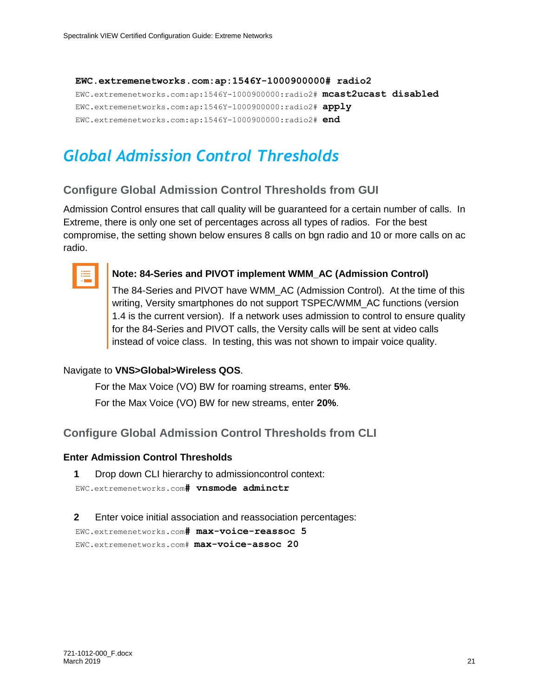## **EWC.extremenetworks.com:ap:1546Y-1000900000# radio2** EWC.extremenetworks.com:ap:1546Y-1000900000:radio2# **mcast2ucast disabled** EWC.extremenetworks.com:ap:1546Y-1000900000:radio2# **apply** EWC.extremenetworks.com:ap:1546Y-1000900000:radio2# **end**

## <span id="page-20-0"></span>*Global Admission Control Thresholds*

## <span id="page-20-1"></span>**Configure Global Admission Control Thresholds from GUI**

Admission Control ensures that call quality will be guaranteed for a certain number of calls. In Extreme, there is only one set of percentages across all types of radios. For the best compromise, the setting shown below ensures 8 calls on bgn radio and 10 or more calls on ac radio.



#### **Note: 84-Series and PIVOT implement WMM\_AC (Admission Control)**

The 84-Series and PIVOT have WMM\_AC (Admission Control). At the time of this writing, Versity smartphones do not support TSPEC/WMM\_AC functions (version 1.4 is the current version). If a network uses admission to control to ensure quality for the 84-Series and PIVOT calls, the Versity calls will be sent at video calls instead of voice class. In testing, this was not shown to impair voice quality.

#### Navigate to **VNS>Global>Wireless QOS**.

For the Max Voice (VO) BW for roaming streams, enter **5%**. For the Max Voice (VO) BW for new streams, enter **20%**.

<span id="page-20-2"></span>**Configure Global Admission Control Thresholds from CLI**

#### **Enter Admission Control Thresholds**

**1** Drop down CLI hierarchy to admissioncontrol context:

EWC.extremenetworks.com**# vnsmode adminctr**

**2** Enter voice initial association and reassociation percentages:

```
EWC.extremenetworks.com# max-voice-reassoc 5
EWC.extremenetworks.com# max-voice-assoc 20
```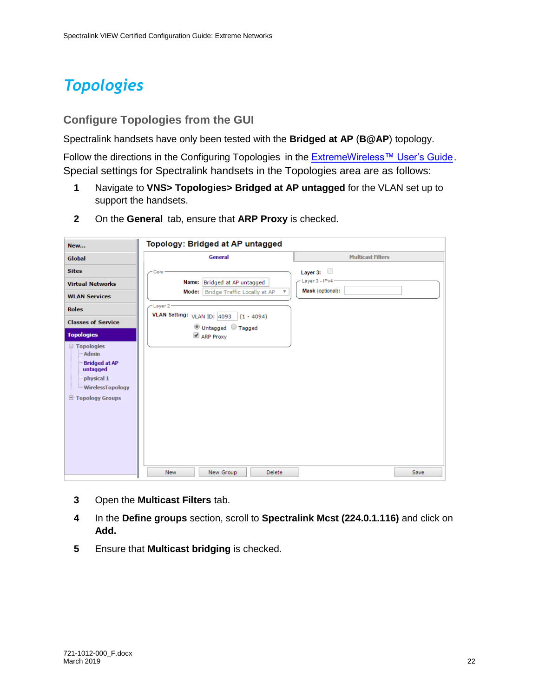## <span id="page-21-0"></span>*Topologies*

## <span id="page-21-1"></span>**Configure Topologies from the GUI**

Spectralink handsets have only been tested with the **Bridged at AP** (**B@AP**) topology.

Follow the directions in the Configuring Topologies in the [ExtremeWireless™ User's Guide](https://documentation.extremenetworks.com/wireless/v10_41/UG/Wireless_User_Guide.pdf). Special settings for Spectralink handsets in the Topologies area are as follows:

- **1** Navigate to **VNS> Topologies> Bridged at AP untagged** for the VLAN set up to support the handsets.
- **2** On the **General** tab, ensure that **ARP Proxy** is checked.

| New                                                                                                                                                                                                                                                                        | Topology: Bridged at AP untagged                                                                                                                                                                        |                                                          |
|----------------------------------------------------------------------------------------------------------------------------------------------------------------------------------------------------------------------------------------------------------------------------|---------------------------------------------------------------------------------------------------------------------------------------------------------------------------------------------------------|----------------------------------------------------------|
| Global                                                                                                                                                                                                                                                                     | General                                                                                                                                                                                                 | <b>Multicast Filters</b>                                 |
| <b>Sites</b><br><b>Virtual Networks</b><br><b>WLAN Services</b><br><b>Roles</b><br><b>Classes of Service</b><br><b>Topologies</b><br>$\Box$ Topologies<br>- Admin<br><b>Bridged at AP</b><br>untagged<br>physical 1<br><b>WirelessTopology</b><br><b>E</b> Topology Groups | Core<br>Name: Bridged at AP untagged<br>Mode:   Bridge Traffic Locally at AP<br>$\overline{\mathbf{v}}$<br>-Layer 2-<br>VLAN Setting: VLAN ID: 4093<br>$(1 - 4094)$<br>O Untagged O Tagged<br>ARP Proxy | Layer 3: $\Box$<br>-Layer 3 - IPv4 -<br>Mask (optional): |
|                                                                                                                                                                                                                                                                            | <b>New</b><br>New Group<br>Delete                                                                                                                                                                       | Save                                                     |

- **3** Open the **Multicast Filters** tab.
- **4** In the **Define groups** section, scroll to **Spectralink Mcst (224.0.1.116)** and click on **Add.**
- **5** Ensure that **Multicast bridging** is checked.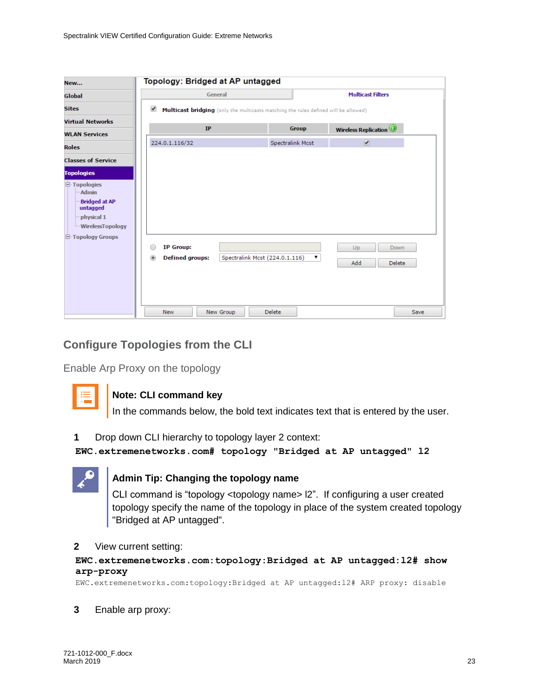|                                                                                                                                                                 |                                                                                 | Topology: Bridged at AP untagged                                                    |                         |                               |                               |
|-----------------------------------------------------------------------------------------------------------------------------------------------------------------|---------------------------------------------------------------------------------|-------------------------------------------------------------------------------------|-------------------------|-------------------------------|-------------------------------|
| <b>Global</b>                                                                                                                                                   | General                                                                         |                                                                                     |                         | <b>Multicast Filters</b>      |                               |
| <b>Sites</b>                                                                                                                                                    | ✔                                                                               | Multicast bridging (only the multicasts matching the rules defined will be allowed) |                         |                               |                               |
| <b>Virtual Networks</b>                                                                                                                                         | IP                                                                              |                                                                                     | <b>Group</b>            |                               |                               |
| <b>WLAN Services</b>                                                                                                                                            |                                                                                 |                                                                                     |                         | <b>Wireless Replication O</b> |                               |
| <b>Roles</b>                                                                                                                                                    | 224.0.1.116/32                                                                  |                                                                                     | <b>Spectralink Mcst</b> | $\overline{\mathcal{C}}$      |                               |
| <b>Classes of Service</b>                                                                                                                                       |                                                                                 |                                                                                     |                         |                               |                               |
| <b>Topologies</b><br>$\Box$ Topologies<br><b>Admin</b><br><b>Bridged at AP</b><br>untagged<br>physical 1<br><b>WirelessTopology</b><br><b>E</b> Topology Groups | <b>IP Group:</b><br>C<br><b>Defined groups:</b><br>$\circledcirc$<br><b>New</b> | Spectralink Mcst (224.0.1.116)<br><b>Delete</b><br>New Group                        | ۷.                      | Up<br>Add                     | Down<br><b>Delete</b><br>Save |

## <span id="page-22-0"></span>**Configure Topologies from the CLI**

Enable Arp Proxy on the topology



## **Note: CLI command key**

In the commands below, the bold text indicates text that is entered by the user.

**1** Drop down CLI hierarchy to topology layer 2 context:

**EWC.extremenetworks.com# topology "Bridged at AP untagged" l2**



## **Admin Tip: Changing the topology name**

CLI command is "topology <topology name> l2". If configuring a user created topology specify the name of the topology in place of the system created topology "Bridged at AP untagged".

#### **2** View current setting:

#### **EWC.extremenetworks.com:topology:Bridged at AP untagged:l2# show arp-proxy**

EWC.extremenetworks.com:topology:Bridged at AP untagged:l2# ARP proxy: disable

**3** Enable arp proxy: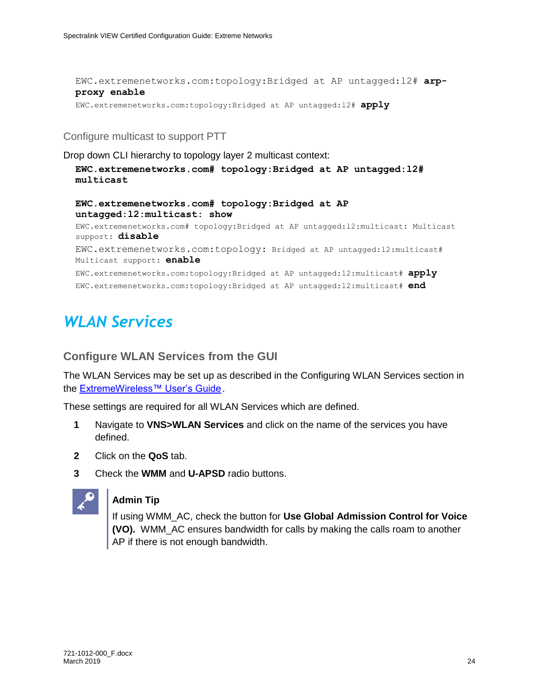EWC.extremenetworks.com:topology:Bridged at AP untagged:l2# **arpproxy enable** EWC.extremenetworks.com:topology:Bridged at AP untagged:l2# **apply**

Configure multicast to support PTT

Drop down CLI hierarchy to topology layer 2 multicast context:

```
EWC.extremenetworks.com# topology:Bridged at AP untagged:l2# 
multicast
```

```
EWC.extremenetworks.com# topology:Bridged at AP 
untagged:l2:multicast: show
```
EWC.extremenetworks.com# topology:Bridged at AP untagged:l2:multicast: Multicast support: **disable** EWC.extremenetworks.com:topology: Bridged at AP untagged:l2:multicast# Multicast support: **enable** EWC.extremenetworks.com:topology:Bridged at AP untagged:l2:multicast# **apply** EWC.extremenetworks.com:topology:Bridged at AP untagged:l2:multicast# **end**

## <span id="page-23-0"></span>*WLAN Services*

### <span id="page-23-1"></span>**Configure WLAN Services from the GUI**

The WLAN Services may be set up as described in the Configuring WLAN Services section in the [ExtremeWireless™ User's Guide](https://documentation.extremenetworks.com/wireless/v10_41/UG/Wireless_User_Guide.pdf).

These settings are required for all WLAN Services which are defined.

- **1** Navigate to **VNS>WLAN Services** and click on the name of the services you have defined.
- **2** Click on the **QoS** tab.
- **3** Check the **WMM** and **U-APSD** radio buttons.



### **Admin Tip**

If using WMM\_AC, check the button for **Use Global Admission Control for Voice (VO).** WMM\_AC ensures bandwidth for calls by making the calls roam to another AP if there is not enough bandwidth.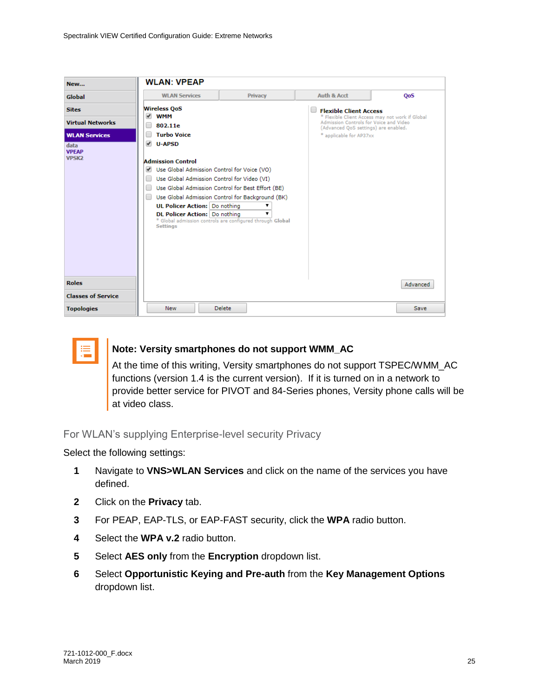| New                                                               | <b>WLAN: VPEAP</b>                                                                                                                                                                                                                                                                   |                                                                                                                                                                         |                                                                                                                            |          |
|-------------------------------------------------------------------|--------------------------------------------------------------------------------------------------------------------------------------------------------------------------------------------------------------------------------------------------------------------------------------|-------------------------------------------------------------------------------------------------------------------------------------------------------------------------|----------------------------------------------------------------------------------------------------------------------------|----------|
| Global                                                            | <b>WLAN Services</b>                                                                                                                                                                                                                                                                 | <b>Privacy</b>                                                                                                                                                          | Auth & Acct                                                                                                                | QoS      |
| <b>Sites</b><br><b>Virtual Networks</b>                           | <b>Wireless OoS</b><br><b>WMM</b><br>$\overline{\mathscr{L}}$<br>$\Box$<br>802.11e                                                                                                                                                                                                   |                                                                                                                                                                         | <b>Flexible Client Access</b><br>* Flexible Client Access may not work if Global<br>Admission Controls for Voice and Video |          |
| <b>WLAN Services</b><br>data<br><b>VPEAP</b><br>VPSK <sub>2</sub> | <b>Turbo Voice</b><br>□<br>$U - APSD$<br><b>Admission Control</b><br>Use Global Admission Control for Voice (VO)<br>Use Global Admission Control for Video (VI)<br>$\Box$<br>O<br>$\Box$<br><b>UL Policer Action: Do nothing</b><br>DL Policer Action: Do nothing<br><b>Settings</b> | Use Global Admission Control for Best Effort (BE)<br>Use Global Admission Control for Background (BK)<br>▼<br>* Global admission controls are configured through Global | (Advanced QoS settings) are enabled.<br>* applicable for AP37xx                                                            |          |
| <b>Roles</b><br><b>Classes of Service</b>                         |                                                                                                                                                                                                                                                                                      |                                                                                                                                                                         |                                                                                                                            | Advanced |
| <b>Topologies</b>                                                 | <b>New</b>                                                                                                                                                                                                                                                                           | <b>Delete</b>                                                                                                                                                           |                                                                                                                            | Save     |



### **Note: Versity smartphones do not support WMM\_AC**

At the time of this writing, Versity smartphones do not support TSPEC/WMM\_AC functions (version 1.4 is the current version). If it is turned on in a network to provide better service for PIVOT and 84-Series phones, Versity phone calls will be at video class.

#### For WLAN's supplying Enterprise-level security Privacy

Select the following settings:

- **1** Navigate to **VNS>WLAN Services** and click on the name of the services you have defined.
- **2** Click on the **Privacy** tab.
- **3** For PEAP, EAP-TLS, or EAP-FAST security, click the **WPA** radio button.
- **4** Select the **WPA v.2** radio button.
- **5** Select **AES only** from the **Encryption** dropdown list.
- **6** Select **Opportunistic Keying and Pre-auth** from the **Key Management Options** dropdown list.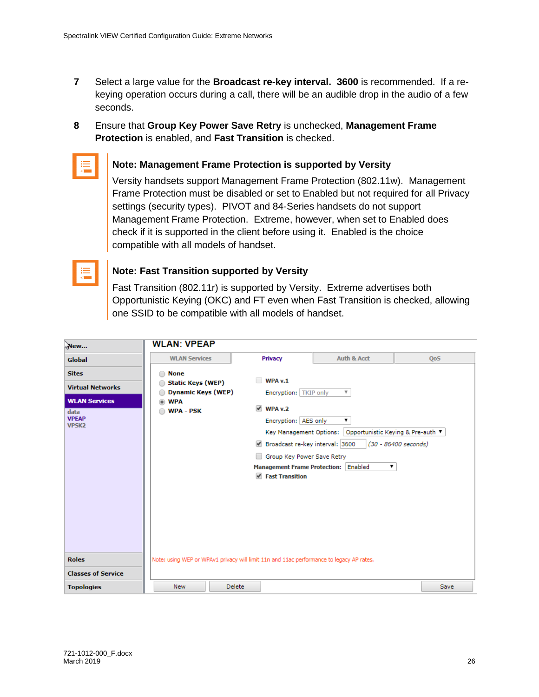- **7** Select a large value for the **Broadcast re-key interval. 3600** is recommended. If a rekeying operation occurs during a call, there will be an audible drop in the audio of a few seconds.
- **8** Ensure that **Group Key Power Save Retry** is unchecked, **Management Frame Protection** is enabled, and **Fast Transition** is checked.



#### **Note: Management Frame Protection is supported by Versity**

Versity handsets support Management Frame Protection (802.11w). Management Frame Protection must be disabled or set to Enabled but not required for all Privacy settings (security types). PIVOT and 84-Series handsets do not support Management Frame Protection. Extreme, however, when set to Enabled does check if it is supported in the client before using it. Enabled is the choice compatible with all models of handset.

| ________ |  |
|----------|--|
|          |  |
| ______   |  |
|          |  |
|          |  |
|          |  |
|          |  |
|          |  |
|          |  |

## **Note: Fast Transition supported by Versity**

Fast Transition (802.11r) is supported by Versity. Extreme advertises both Opportunistic Keying (OKC) and FT even when Fast Transition is checked, allowing one SSID to be compatible with all models of handset.

| New                               | <b>WLAN: VPEAP</b>                                                                       |                                                                                        |                           |                 |  |  |  |
|-----------------------------------|------------------------------------------------------------------------------------------|----------------------------------------------------------------------------------------|---------------------------|-----------------|--|--|--|
| Global                            | <b>WLAN Services</b>                                                                     | <b>Privacy</b>                                                                         | Auth & Acct               | Qo <sub>5</sub> |  |  |  |
| <b>Sites</b>                      | <b>None</b>                                                                              |                                                                                        |                           |                 |  |  |  |
| <b>Virtual Networks</b>           | <b>Static Keys (WEP)</b>                                                                 | WPA v.1<br>∩                                                                           |                           |                 |  |  |  |
|                                   | <b>Dynamic Keys (WEP)</b>                                                                | Encryption:   TKIP only                                                                | $\boldsymbol{\mathrm{v}}$ |                 |  |  |  |
| <b>WLAN Services</b><br>data      | <b>WPA</b><br><b>WPA - PSK</b>                                                           | $\vee$ WPA v.2                                                                         |                           |                 |  |  |  |
| <b>VPEAP</b><br>VPSK <sub>2</sub> |                                                                                          | Encryption: AES only<br>▼<br>Key Management Options: Opportunistic Keying & Pre-auth ▼ |                           |                 |  |  |  |
|                                   |                                                                                          |                                                                                        |                           |                 |  |  |  |
|                                   | (30 - 86400 seconds)                                                                     |                                                                                        |                           |                 |  |  |  |
|                                   | Group Key Power Save Retry<br>$\Box$                                                     |                                                                                        |                           |                 |  |  |  |
|                                   |                                                                                          | Management Frame Protection: Enabled<br>▼                                              |                           |                 |  |  |  |
|                                   |                                                                                          | ✔ Fast Transition                                                                      |                           |                 |  |  |  |
|                                   |                                                                                          |                                                                                        |                           |                 |  |  |  |
| <b>Roles</b>                      | Note: using WEP or WPAv1 privacy will limit 11n and 11ac performance to legacy AP rates. |                                                                                        |                           |                 |  |  |  |
| <b>Classes of Service</b>         |                                                                                          |                                                                                        |                           |                 |  |  |  |
| <b>Topologies</b>                 | <b>Delete</b><br><b>New</b>                                                              |                                                                                        |                           | Save            |  |  |  |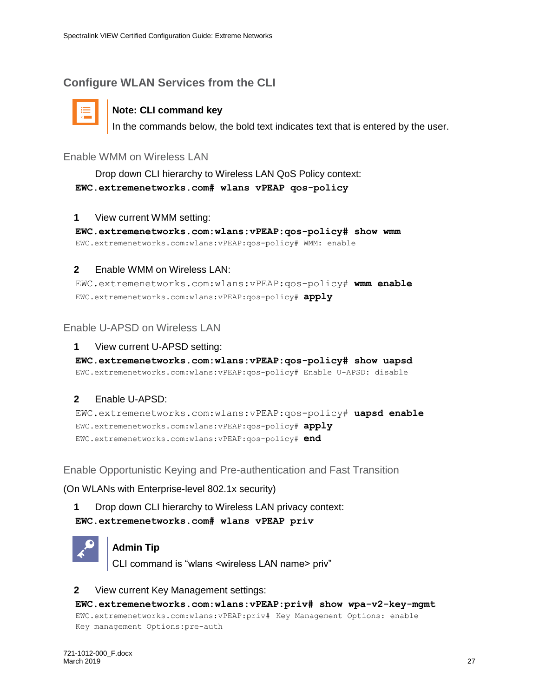## <span id="page-26-0"></span>**Configure WLAN Services from the CLI**



## **Note: CLI command key**

In the commands below, the bold text indicates text that is entered by the user.

### Enable WMM on Wireless LAN

Drop down CLI hierarchy to Wireless LAN QoS Policy context: **EWC.extremenetworks.com# wlans vPEAP qos-policy**

#### **1** View current WMM setting:

**EWC.extremenetworks.com:wlans:vPEAP:qos-policy# show wmm** EWC.extremenetworks.com:wlans:vPEAP:qos-policy# WMM: enable

### **2** Enable WMM on Wireless LAN:

EWC.extremenetworks.com:wlans:vPEAP:qos-policy# **wmm enable** EWC.extremenetworks.com:wlans:vPEAP:qos-policy# **apply**

## Enable U-APSD on Wireless LAN

#### **1** View current U-APSD setting:

**EWC.extremenetworks.com:wlans:vPEAP:qos-policy# show uapsd** EWC.extremenetworks.com:wlans:vPEAP:qos-policy# Enable U-APSD: disable

### **2** Enable U-APSD:

EWC.extremenetworks.com:wlans:vPEAP:qos-policy# **uapsd enable** EWC.extremenetworks.com:wlans:vPEAP:qos-policy# **apply** EWC.extremenetworks.com:wlans:vPEAP:qos-policy# **end**

Enable Opportunistic Keying and Pre-authentication and Fast Transition

(On WLANs with Enterprise-level 802.1x security)

**1** Drop down CLI hierarchy to Wireless LAN privacy context: **EWC.extremenetworks.com# wlans vPEAP priv**



### **Admin Tip**

CLI command is "wlans <wireless LAN name> priv"

#### **2** View current Key Management settings:

#### **EWC.extremenetworks.com:wlans:vPEAP:priv# show wpa-v2-key-mgmt**

EWC.extremenetworks.com:wlans:vPEAP:priv# Key Management Options: enable Key management Options:pre-auth